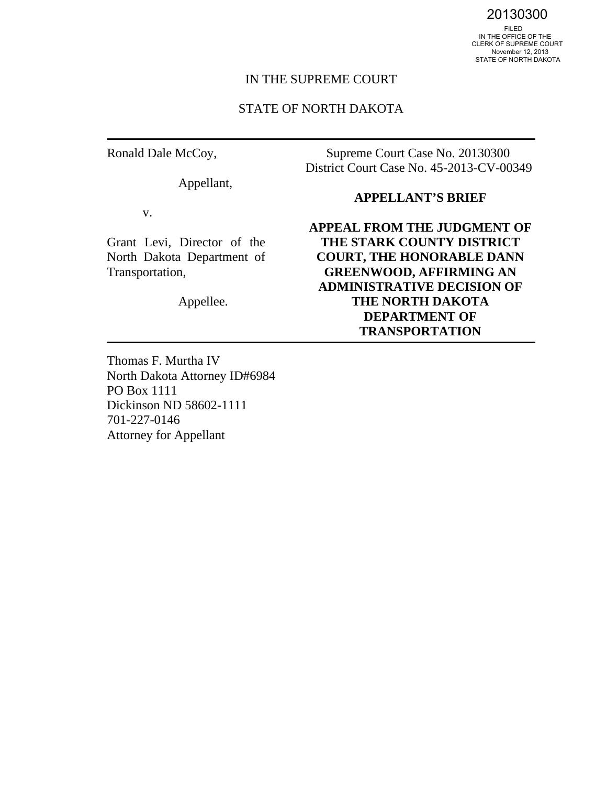20130300<br>FILED<br>IN THE OFFICE OF THE CLERK OF SUPREME COURT November 12, 2013 STATE OF NORTH DAKOTA

#### IN THE SUPREME COURT

#### STATE OF NORTH DAKOTA

Ronald Dale McCoy,

Appellant,

v.

Grant Levi, Director of the North Dakota Department of Transportation,

Appellee.

Supreme Court Case No. 20130300 District Court Case No. 45-2013-CV-00349

#### **APPELLANT'S BRIEF**

**APPEAL FROM THE JUDGMENT OF THE STARK COUNTY DISTRICT COURT, THE HONORABLE DANN GREENWOOD, AFFIRMING AN ADMINISTRATIVE DECISION OF THE NORTH DAKOTA DEPARTMENT OF TRANSPORTATION**

Thomas F. Murtha IV North Dakota Attorney ID#6984 PO Box 1111 Dickinson ND 58602-1111 701-227-0146 Attorney for Appellant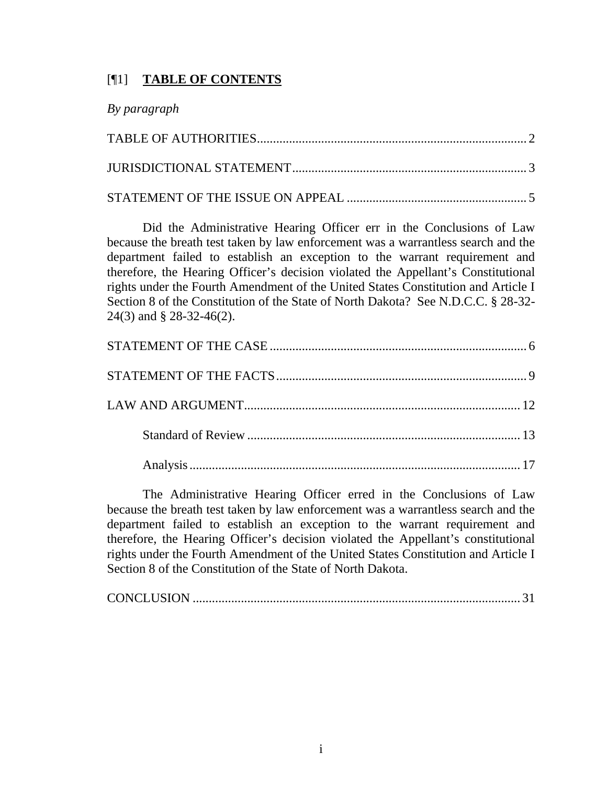## [¶1] **TABLE OF CONTENTS**

| By paragraph |  |
|--------------|--|
|              |  |
|              |  |
|              |  |

Did the Administrative Hearing Officer err in the Conclusions of Law because the breath test taken by law enforcement was a warrantless search and the department failed to establish an exception to the warrant requirement and therefore, the Hearing Officer's decision violated the Appellant's Constitutional rights under the Fourth Amendment of the United States Constitution and Article I Section 8 of the Constitution of the State of North Dakota? See N.D.C.C. § 28-32- 24(3) and § 28-32-46(2).

The Administrative Hearing Officer erred in the Conclusions of Law because the breath test taken by law enforcement was a warrantless search and the department failed to establish an exception to the warrant requirement and therefore, the Hearing Officer's decision violated the Appellant's constitutional rights under the Fourth Amendment of the United States Constitution and Article I Section 8 of the Constitution of the State of North Dakota.

|--|--|--|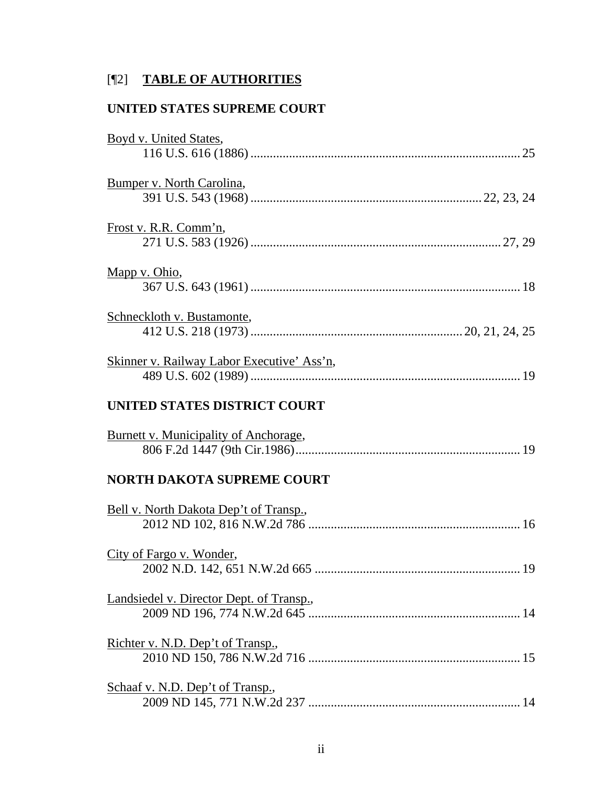# [¶2] **TABLE OF AUTHORITIES**

## **UNITED STATES SUPREME COURT**

| Boyd v. United States,                       |
|----------------------------------------------|
| Bumper v. North Carolina,                    |
| Frost v. R.R. Comm'n,                        |
| Mapp v. Ohio,                                |
| Schneckloth v. Bustamonte,                   |
| Skinner v. Railway Labor Executive' Ass'n,   |
| UNITED STATES DISTRICT COURT                 |
| <b>Burnett v. Municipality of Anchorage,</b> |
| <b>NORTH DAKOTA SUPREME COURT</b>            |
| Bell v. North Dakota Dep't of Transp.,       |
| City of Fargo v. Wonder,                     |
| Landsiedel v. Director Dept. of Transp.,     |
| Richter v. N.D. Dep't of Transp.,            |
| Schaaf v. N.D. Dep't of Transp.,             |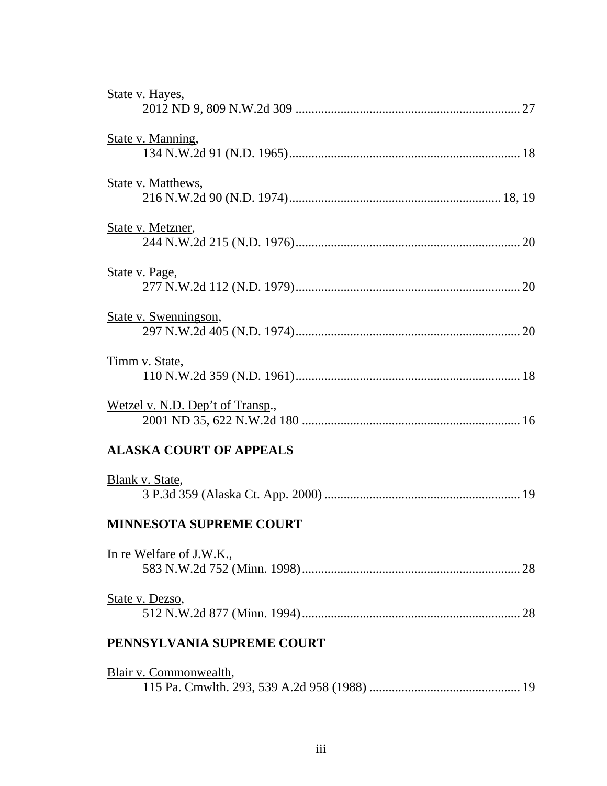| State v. Hayes,                  |
|----------------------------------|
| State v. Manning,                |
| State v. Matthews,               |
| State v. Metzner,                |
| State v. Page,                   |
| <u>State v. Swenningson,</u>     |
| Timm v. State,                   |
| Wetzel v. N.D. Dep't of Transp., |
| <b>ALASKA COURT OF APPEALS</b>   |
| Blank v. State,                  |
| <b>MINNESOTA SUPREME COURT</b>   |
| In re Welfare of J.W.K.,         |
| State v. Dezso,                  |
| PENNSYLVANIA SUPREME COURT       |
| Blair v. Commonwealth,           |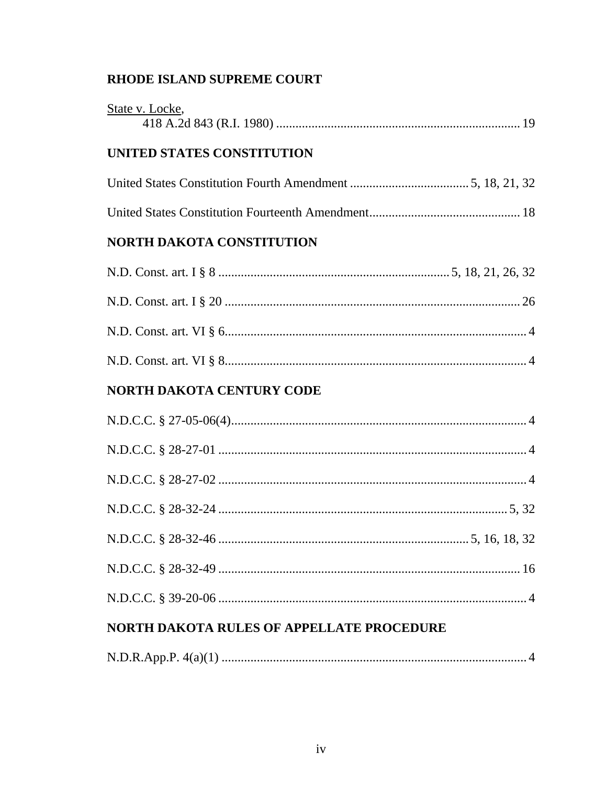# RHODE ISLAND SUPREME COURT

| State v. Locke,                  |
|----------------------------------|
| UNITED STATES CONSTITUTION       |
|                                  |
|                                  |
| <b>NORTH DAKOTA CONSTITUTION</b> |
|                                  |
|                                  |
|                                  |
|                                  |
| <b>NORTH DAKOTA CENTURY CODE</b> |
|                                  |
|                                  |
|                                  |
|                                  |
|                                  |
|                                  |
|                                  |
|                                  |

# NORTH DAKOTA RULES OF APPELLATE PROCEDURE

|--|--|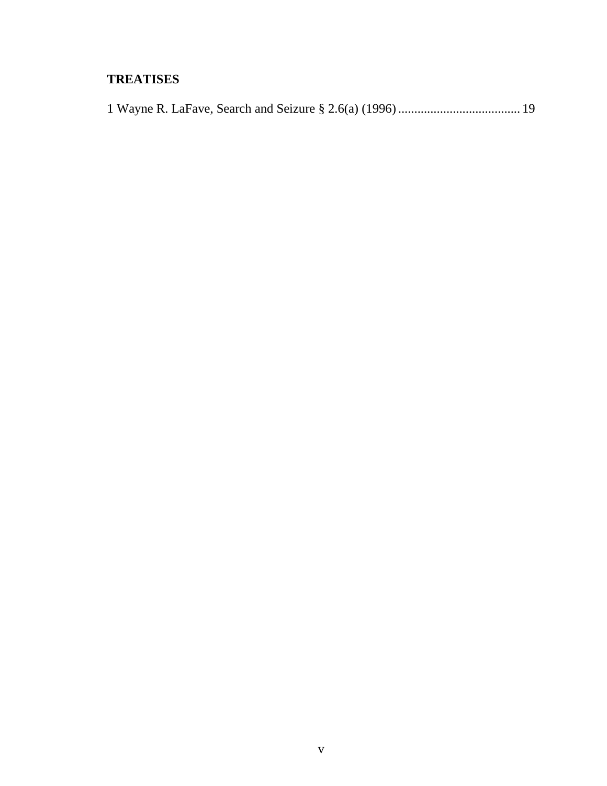## **TREATISES**

|--|--|--|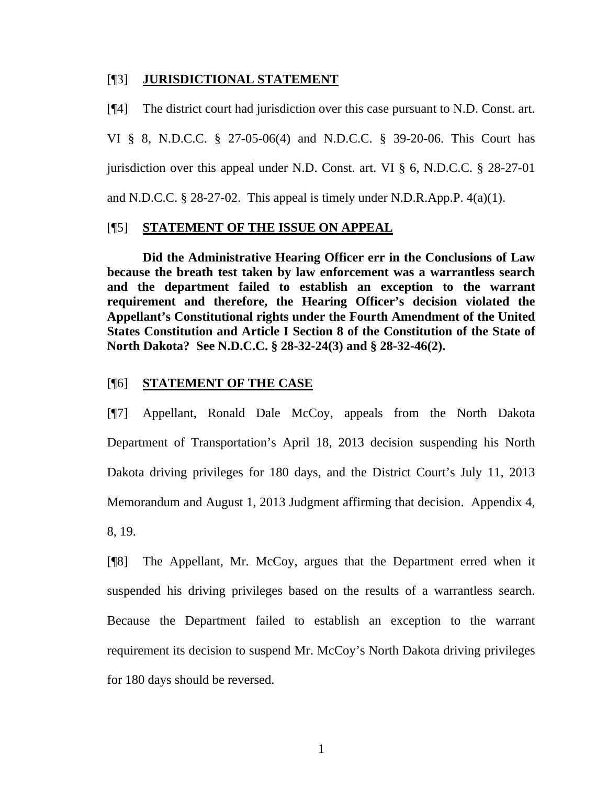#### [¶3] **JURISDICTIONAL STATEMENT**

[¶4] The district court had jurisdiction over this case pursuant to N.D. Const. art. VI § 8, N.D.C.C. § 27-05-06(4) and N.D.C.C. § 39-20-06. This Court has jurisdiction over this appeal under N.D. Const. art. VI § 6, N.D.C.C. § 28-27-01 and N.D.C.C. § 28-27-02. This appeal is timely under N.D.R.App.P. 4(a)(1).

#### [¶5] **STATEMENT OF THE ISSUE ON APPEAL**

**Did the Administrative Hearing Officer err in the Conclusions of Law because the breath test taken by law enforcement was a warrantless search and the department failed to establish an exception to the warrant requirement and therefore, the Hearing Officer's decision violated the Appellant's Constitutional rights under the Fourth Amendment of the United States Constitution and Article I Section 8 of the Constitution of the State of North Dakota? See N.D.C.C. § 28-32-24(3) and § 28-32-46(2).**

#### [¶6] **STATEMENT OF THE CASE**

[¶7] Appellant, Ronald Dale McCoy, appeals from the North Dakota Department of Transportation's April 18, 2013 decision suspending his North Dakota driving privileges for 180 days, and the District Court's July 11, 2013 Memorandum and August 1, 2013 Judgment affirming that decision. Appendix 4, 8, 19.

[¶8] The Appellant, Mr. McCoy, argues that the Department erred when it suspended his driving privileges based on the results of a warrantless search. Because the Department failed to establish an exception to the warrant requirement its decision to suspend Mr. McCoy's North Dakota driving privileges for 180 days should be reversed.

1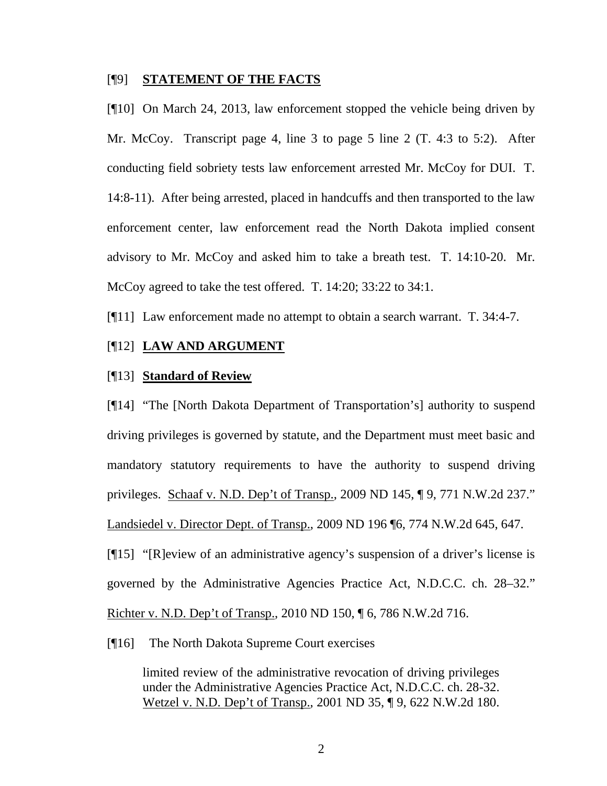#### [¶9] **STATEMENT OF THE FACTS**

[¶10] On March 24, 2013, law enforcement stopped the vehicle being driven by Mr. McCoy. Transcript page 4, line 3 to page 5 line 2 (T. 4:3 to 5:2). After conducting field sobriety tests law enforcement arrested Mr. McCoy for DUI. T. 14:8-11). After being arrested, placed in handcuffs and then transported to the law enforcement center, law enforcement read the North Dakota implied consent advisory to Mr. McCoy and asked him to take a breath test. T. 14:10-20. Mr. McCoy agreed to take the test offered. T. 14:20; 33:22 to 34:1.

[¶11] Law enforcement made no attempt to obtain a search warrant. T. 34:4-7.

#### [¶12] **LAW AND ARGUMENT**

### [¶13] **Standard of Review**

[¶14] "The [North Dakota Department of Transportation's] authority to suspend driving privileges is governed by statute, and the Department must meet basic and mandatory statutory requirements to have the authority to suspend driving privileges. Schaaf v. N.D. Dep't of Transp., 2009 ND 145, ¶ 9, 771 N.W.2d 237." Landsiedel v. Director Dept. of Transp., 2009 ND 196 ¶6, 774 N.W.2d 645, 647.

[¶15] "[R]eview of an administrative agency's suspension of a driver's license is governed by the Administrative Agencies Practice Act, N.D.C.C. ch. 28–32." Richter v. N.D. Dep't of Transp., 2010 ND 150, ¶ 6, 786 N.W.2d 716.

[¶16] The North Dakota Supreme Court exercises

limited review of the administrative revocation of driving privileges under the Administrative Agencies Practice Act, N.D.C.C. ch. 28-32. Wetzel v. N.D. Dep't of Transp., 2001 ND 35, ¶ 9, 622 N.W.2d 180.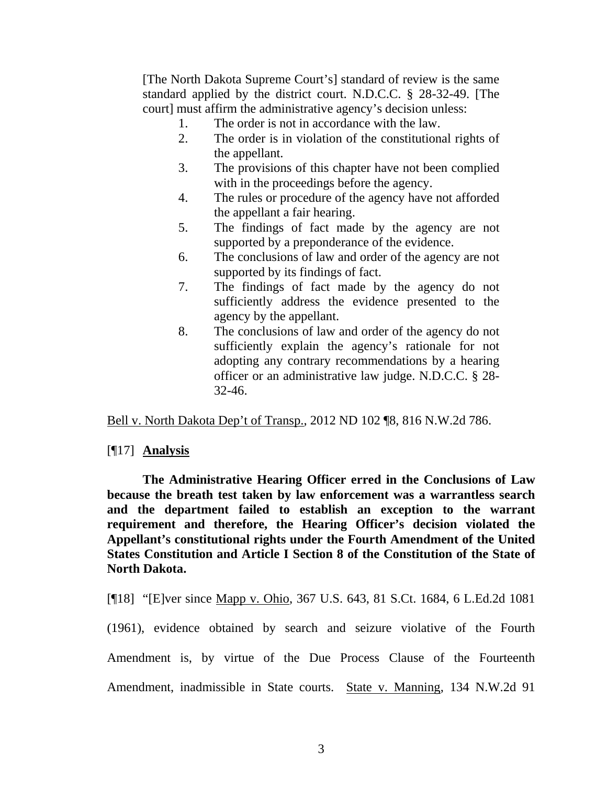[The North Dakota Supreme Court's] standard of review is the same standard applied by the district court. N.D.C.C. § 28-32-49. [The court] must affirm the administrative agency's decision unless:

- 1. The order is not in accordance with the law.
- 2. The order is in violation of the constitutional rights of the appellant.
- 3. The provisions of this chapter have not been complied with in the proceedings before the agency.
- 4. The rules or procedure of the agency have not afforded the appellant a fair hearing.
- 5. The findings of fact made by the agency are not supported by a preponderance of the evidence.
- 6. The conclusions of law and order of the agency are not supported by its findings of fact.
- 7. The findings of fact made by the agency do not sufficiently address the evidence presented to the agency by the appellant.
- 8. The conclusions of law and order of the agency do not sufficiently explain the agency's rationale for not adopting any contrary recommendations by a hearing officer or an administrative law judge. N.D.C.C. § 28- 32-46.

Bell v. North Dakota Dep't of Transp., 2012 ND 102 ¶8, 816 N.W.2d 786.

## [¶17] **Analysis**

**The Administrative Hearing Officer erred in the Conclusions of Law because the breath test taken by law enforcement was a warrantless search and the department failed to establish an exception to the warrant requirement and therefore, the Hearing Officer's decision violated the Appellant's constitutional rights under the Fourth Amendment of the United States Constitution and Article I Section 8 of the Constitution of the State of North Dakota.** 

[¶18] "[E]ver since Mapp v. Ohio, 367 U.S. 643, 81 S.Ct. 1684, 6 L.Ed.2d 1081

(1961), evidence obtained by search and seizure violative of the Fourth Amendment is, by virtue of the Due Process Clause of the Fourteenth Amendment, inadmissible in State courts. State v. Manning, 134 N.W.2d 91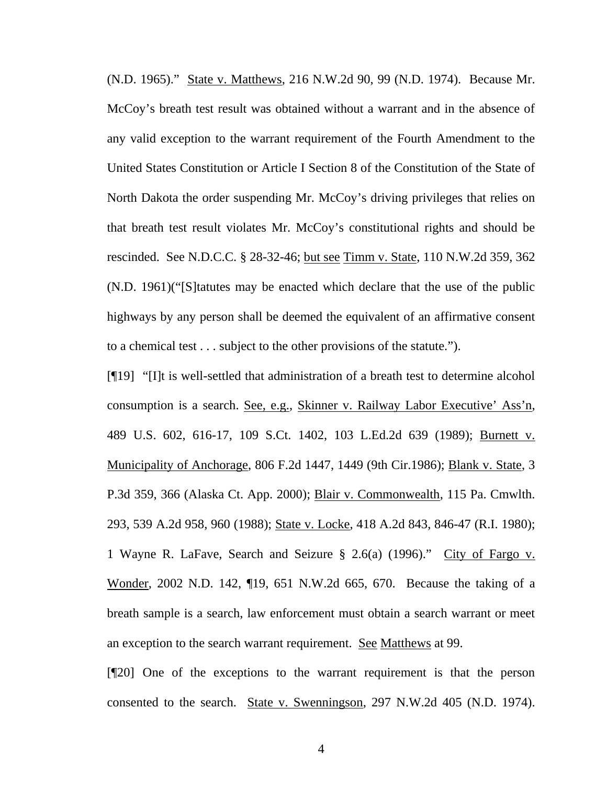(N.D. 1965)." State v. Matthews, 216 N.W.2d 90, 99 (N.D. 1974). Because Mr. McCoy's breath test result was obtained without a warrant and in the absence of any valid exception to the warrant requirement of the Fourth Amendment to the United States Constitution or Article I Section 8 of the Constitution of the State of North Dakota the order suspending Mr. McCoy's driving privileges that relies on that breath test result violates Mr. McCoy's constitutional rights and should be rescinded. See N.D.C.C. § 28-32-46; but see Timm v. State, 110 N.W.2d 359, 362 (N.D. 1961)("[S]tatutes may be enacted which declare that the use of the public highways by any person shall be deemed the equivalent of an affirmative consent to a chemical test . . . subject to the other provisions of the statute.").

[¶19] "[I]t is well-settled that administration of a breath test to determine alcohol consumption is a search. See, e.g., Skinner v. Railway Labor Executive' Ass'n, 489 U.S. 602, 616-17, 109 S.Ct. 1402, 103 L.Ed.2d 639 (1989); Burnett v. Municipality of Anchorage, 806 F.2d 1447, 1449 (9th Cir.1986); Blank v. State, 3 P.3d 359, 366 (Alaska Ct. App. 2000); Blair v. Commonwealth, 115 Pa. Cmwlth. 293, 539 A.2d 958, 960 (1988); State v. Locke, 418 A.2d 843, 846-47 (R.I. 1980); 1 Wayne R. LaFave, Search and Seizure § 2.6(a) (1996)." City of Fargo v. Wonder, 2002 N.D. 142, ¶19, 651 N.W.2d 665, 670. Because the taking of a breath sample is a search, law enforcement must obtain a search warrant or meet an exception to the search warrant requirement. See Matthews at 99.

[¶20] One of the exceptions to the warrant requirement is that the person consented to the search. State v. Swenningson, 297 N.W.2d 405 (N.D. 1974).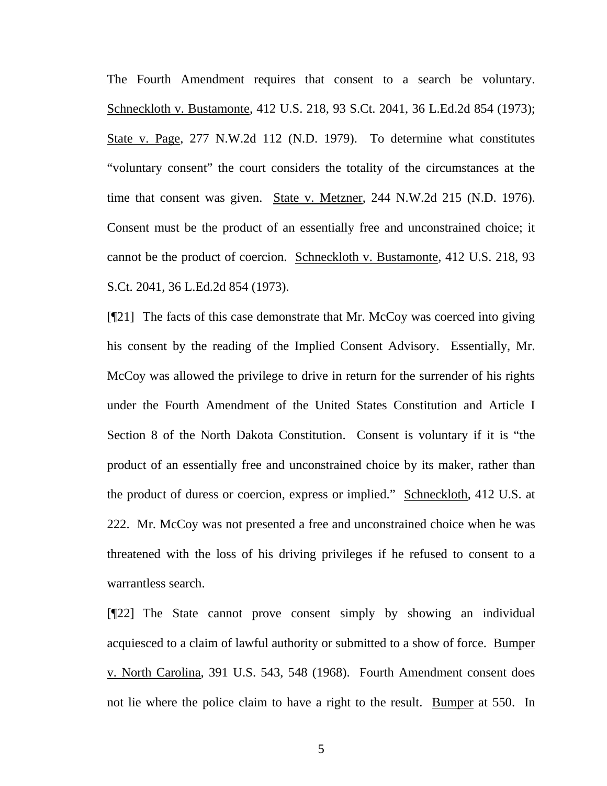The Fourth Amendment requires that consent to a search be voluntary. Schneckloth v. Bustamonte, 412 U.S. 218, 93 S.Ct. 2041, 36 L.Ed.2d 854 (1973); State v. Page, 277 N.W.2d 112 (N.D. 1979). To determine what constitutes "voluntary consent" the court considers the totality of the circumstances at the time that consent was given. State v. Metzner, 244 N.W.2d 215 (N.D. 1976). Consent must be the product of an essentially free and unconstrained choice; it cannot be the product of coercion. Schneckloth v. Bustamonte, 412 U.S. 218, 93 S.Ct. 2041, 36 L.Ed.2d 854 (1973).

[¶21] The facts of this case demonstrate that Mr. McCoy was coerced into giving his consent by the reading of the Implied Consent Advisory. Essentially, Mr. McCoy was allowed the privilege to drive in return for the surrender of his rights under the Fourth Amendment of the United States Constitution and Article I Section 8 of the North Dakota Constitution. Consent is voluntary if it is "the product of an essentially free and unconstrained choice by its maker, rather than the product of duress or coercion, express or implied." Schneckloth, 412 U.S. at 222. Mr. McCoy was not presented a free and unconstrained choice when he was threatened with the loss of his driving privileges if he refused to consent to a warrantless search.

[¶22] The State cannot prove consent simply by showing an individual acquiesced to a claim of lawful authority or submitted to a show of force. Bumper v. North Carolina, 391 U.S. 543, 548 (1968). Fourth Amendment consent does not lie where the police claim to have a right to the result. Bumper at 550. In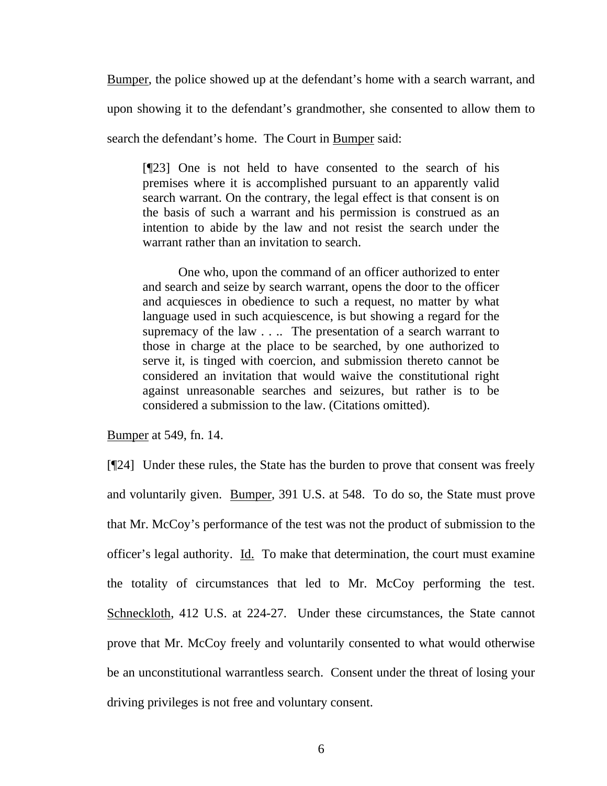Bumper, the police showed up at the defendant's home with a search warrant, and upon showing it to the defendant's grandmother, she consented to allow them to search the defendant's home. The Court in Bumper said:

[¶23] One is not held to have consented to the search of his premises where it is accomplished pursuant to an apparently valid search warrant. On the contrary, the legal effect is that consent is on the basis of such a warrant and his permission is construed as an intention to abide by the law and not resist the search under the warrant rather than an invitation to search.

One who, upon the command of an officer authorized to enter and search and seize by search warrant, opens the door to the officer and acquiesces in obedience to such a request, no matter by what language used in such acquiescence, is but showing a regard for the supremacy of the law . . .. The presentation of a search warrant to those in charge at the place to be searched, by one authorized to serve it, is tinged with coercion, and submission thereto cannot be considered an invitation that would waive the constitutional right against unreasonable searches and seizures, but rather is to be considered a submission to the law. (Citations omitted).

Bumper at 549, fn. 14.

[¶24] Under these rules, the State has the burden to prove that consent was freely and voluntarily given. Bumper, 391 U.S. at 548. To do so, the State must prove that Mr. McCoy's performance of the test was not the product of submission to the officer's legal authority. Id. To make that determination, the court must examine the totality of circumstances that led to Mr. McCoy performing the test. Schneckloth, 412 U.S. at 224-27. Under these circumstances, the State cannot prove that Mr. McCoy freely and voluntarily consented to what would otherwise be an unconstitutional warrantless search. Consent under the threat of losing your driving privileges is not free and voluntary consent.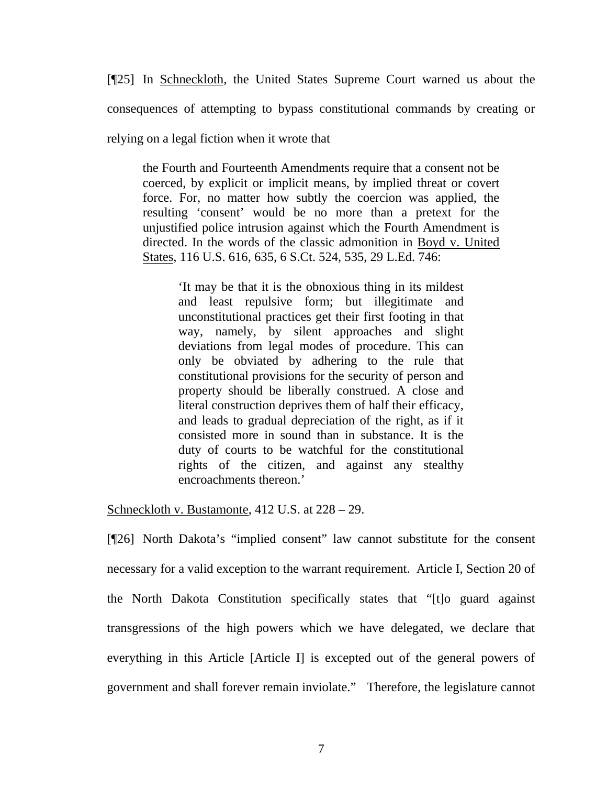[¶25] In Schneckloth, the United States Supreme Court warned us about the consequences of attempting to bypass constitutional commands by creating or

relying on a legal fiction when it wrote that

the Fourth and Fourteenth Amendments require that a consent not be coerced, by explicit or implicit means, by implied threat or covert force. For, no matter how subtly the coercion was applied, the resulting 'consent' would be no more than a pretext for the unjustified police intrusion against which the Fourth Amendment is directed. In the words of the classic admonition in Boyd v. United States, 116 U.S. 616, 635, 6 S.Ct. 524, 535, 29 L.Ed. 746:

'It may be that it is the obnoxious thing in its mildest and least repulsive form; but illegitimate and unconstitutional practices get their first footing in that way, namely, by silent approaches and slight deviations from legal modes of procedure. This can only be obviated by adhering to the rule that constitutional provisions for the security of person and property should be liberally construed. A close and literal construction deprives them of half their efficacy, and leads to gradual depreciation of the right, as if it consisted more in sound than in substance. It is the duty of courts to be watchful for the constitutional rights of the citizen, and against any stealthy encroachments thereon.'

Schneckloth v. Bustamonte, 412 U.S. at 228 – 29.

[¶26] North Dakota's "implied consent" law cannot substitute for the consent necessary for a valid exception to the warrant requirement. Article I, Section 20 of the North Dakota Constitution specifically states that "[t]o guard against transgressions of the high powers which we have delegated, we declare that everything in this Article [Article I] is excepted out of the general powers of government and shall forever remain inviolate." Therefore, the legislature cannot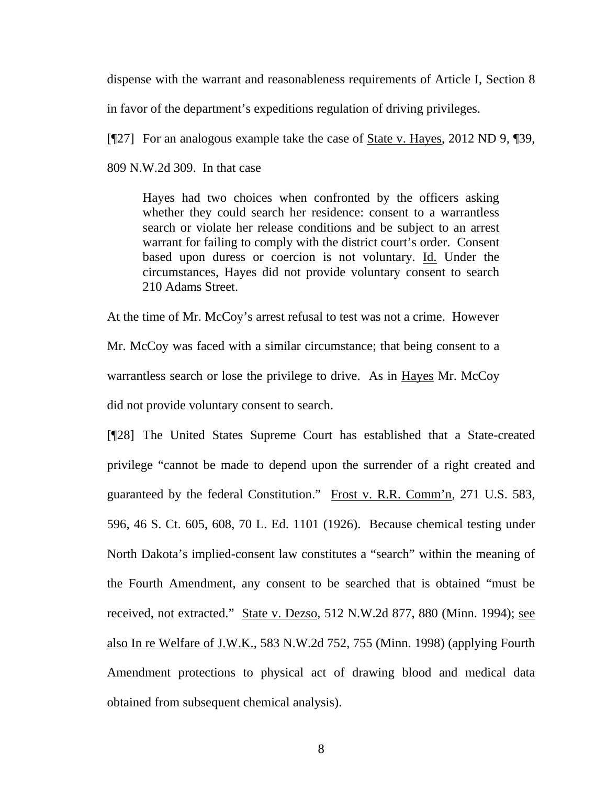dispense with the warrant and reasonableness requirements of Article I, Section 8 in favor of the department's expeditions regulation of driving privileges.

[¶27] For an analogous example take the case of State v. Hayes, 2012 ND 9, ¶39, 809 N.W.2d 309. In that case

Hayes had two choices when confronted by the officers asking whether they could search her residence: consent to a warrantless search or violate her release conditions and be subject to an arrest warrant for failing to comply with the district court's order. Consent based upon duress or coercion is not voluntary. Id. Under the circumstances, Hayes did not provide voluntary consent to search 210 Adams Street.

At the time of Mr. McCoy's arrest refusal to test was not a crime. However Mr. McCoy was faced with a similar circumstance; that being consent to a warrantless search or lose the privilege to drive. As in Hayes Mr. McCoy did not provide voluntary consent to search.

[¶28] The United States Supreme Court has established that a State-created privilege "cannot be made to depend upon the surrender of a right created and guaranteed by the federal Constitution." Frost v. R.R. Comm'n, 271 U.S. 583, 596, 46 S. Ct. 605, 608, 70 L. Ed. 1101 (1926). Because chemical testing under North Dakota's implied-consent law constitutes a "search" within the meaning of the Fourth Amendment, any consent to be searched that is obtained "must be received, not extracted." State v. Dezso, 512 N.W.2d 877, 880 (Minn. 1994); see also In re Welfare of J.W.K., 583 N.W.2d 752, 755 (Minn. 1998) (applying Fourth Amendment protections to physical act of drawing blood and medical data obtained from subsequent chemical analysis).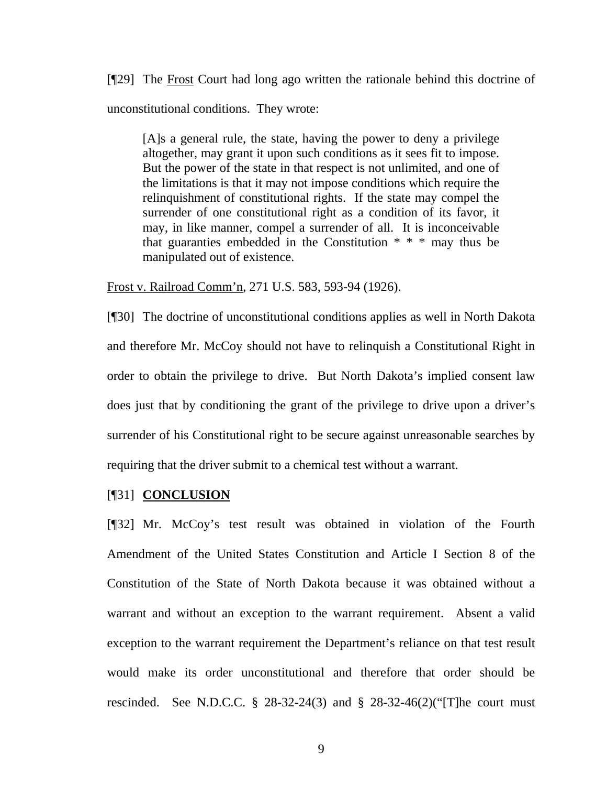[¶29] The Frost Court had long ago written the rationale behind this doctrine of unconstitutional conditions. They wrote:

[A]s a general rule, the state, having the power to deny a privilege altogether, may grant it upon such conditions as it sees fit to impose. But the power of the state in that respect is not unlimited, and one of the limitations is that it may not impose conditions which require the relinquishment of constitutional rights. If the state may compel the surrender of one constitutional right as a condition of its favor, it may, in like manner, compel a surrender of all. It is inconceivable that guaranties embedded in the Constitution \* \* \* may thus be manipulated out of existence.

Frost v. Railroad Comm'n, 271 U.S. 583, 593-94 (1926).

[¶30] The doctrine of unconstitutional conditions applies as well in North Dakota and therefore Mr. McCoy should not have to relinquish a Constitutional Right in order to obtain the privilege to drive. But North Dakota's implied consent law does just that by conditioning the grant of the privilege to drive upon a driver's surrender of his Constitutional right to be secure against unreasonable searches by requiring that the driver submit to a chemical test without a warrant.

#### [¶31] **CONCLUSION**

[¶32] Mr. McCoy's test result was obtained in violation of the Fourth Amendment of the United States Constitution and Article I Section 8 of the Constitution of the State of North Dakota because it was obtained without a warrant and without an exception to the warrant requirement. Absent a valid exception to the warrant requirement the Department's reliance on that test result would make its order unconstitutional and therefore that order should be rescinded. See N.D.C.C. § 28-32-24(3) and § 28-32-46(2)("[T]he court must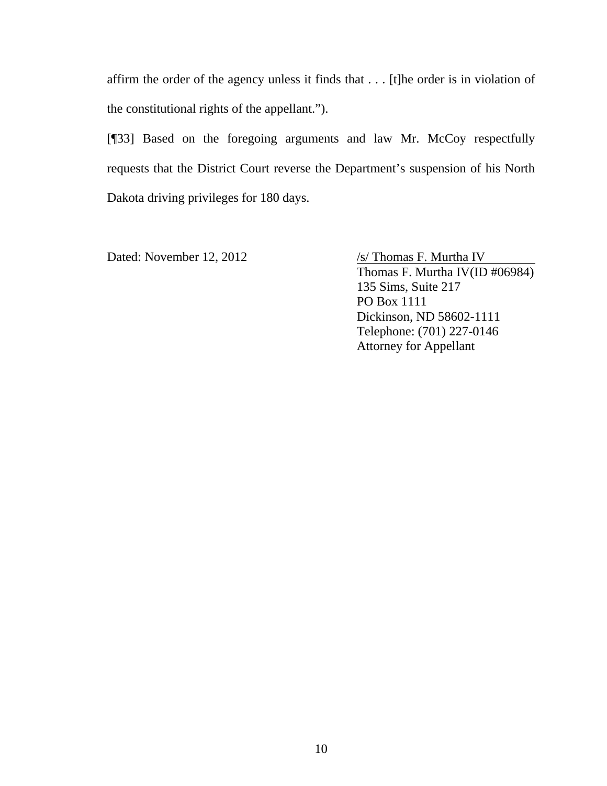affirm the order of the agency unless it finds that . . . [t]he order is in violation of the constitutional rights of the appellant.").

[¶33] Based on the foregoing arguments and law Mr. McCoy respectfully requests that the District Court reverse the Department's suspension of his North Dakota driving privileges for 180 days.

Dated: November 12, 2012 /s/ Thomas F. Murtha IV Thomas F. Murtha IV(ID #06984) 135 Sims, Suite 217 PO Box 1111 Dickinson, ND 58602-1111 Telephone: (701) 227-0146 Attorney for Appellant